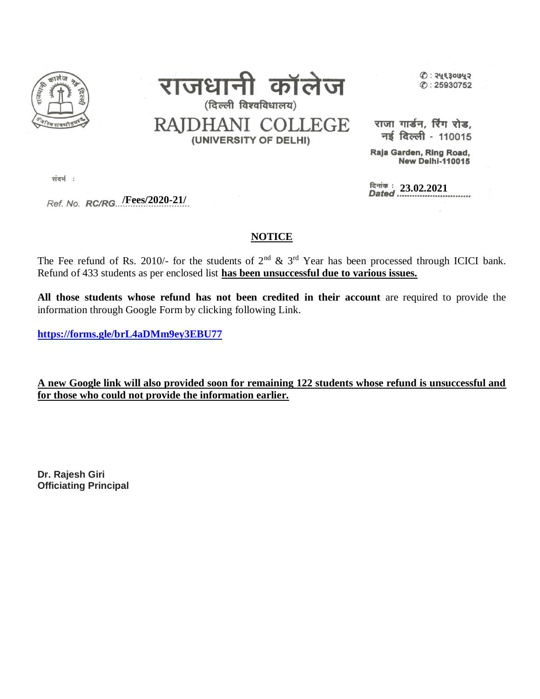



 $O: 24530042$  $\circ$ : 25930752

RAJDHANI COLLEGE (UNIVERSITY OF DELHI)

राजा गार्डन, रिंग रोड, नई दिल्ली - 110015

Raja Garden, Ring Road, **New Delhi-110015** 

दिनांक : 23.02.2021<br>Dated ..............................

संदर्भ:

 **/Fees/2020-21/**

## **NOTICE**

The Fee refund of Rs. 2010/- for the students of  $2<sup>nd</sup>$  &  $3<sup>rd</sup>$  Year has been processed through ICICI bank. Refund of 433 students as per enclosed list **has been unsuccessful due to various issues.**

**All those students whose refund has not been credited in their account** are required to provide the information through Google Form by clicking following Link.

**<https://forms.gle/brL4aDMm9ey3EBU77>**

**A new Google link will also provided soon for remaining 122 students whose refund is unsuccessful and for those who could not provide the information earlier.** 

**Dr. Rajesh Giri Officiating Principal**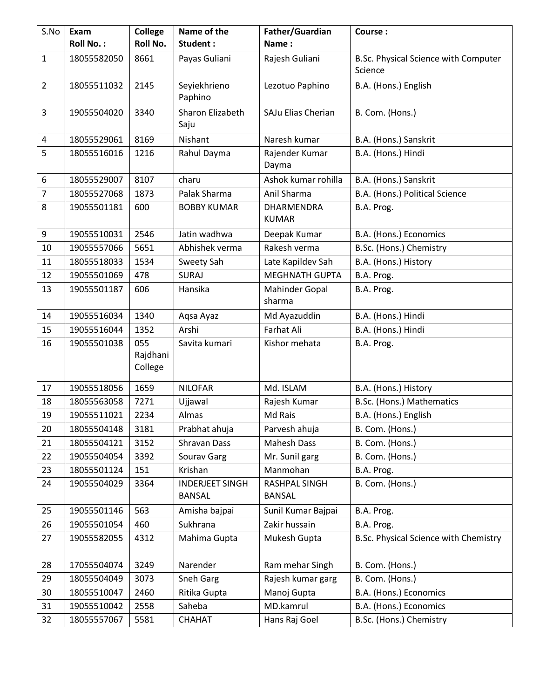| S.No           | Exam             | <b>College</b>             | Name of the                             | Father/Guardian                   | Course:                                         |
|----------------|------------------|----------------------------|-----------------------------------------|-----------------------------------|-------------------------------------------------|
|                | <b>Roll No.:</b> | Roll No.                   | Student:                                | Name:                             |                                                 |
| $\mathbf{1}$   | 18055582050      | 8661                       | Payas Guliani                           | Rajesh Guliani                    | B.Sc. Physical Science with Computer<br>Science |
| $\overline{2}$ | 18055511032      | 2145                       | Seyiekhrieno<br>Paphino                 | Lezotuo Paphino                   | B.A. (Hons.) English                            |
| 3              | 19055504020      | 3340                       | Sharon Elizabeth<br>Saju                | SAJu Elias Cherian                | B. Com. (Hons.)                                 |
| 4              | 18055529061      | 8169                       | Nishant                                 | Naresh kumar                      | B.A. (Hons.) Sanskrit                           |
| 5              | 18055516016      | 1216                       | Rahul Dayma                             | Rajender Kumar<br>Dayma           | B.A. (Hons.) Hindi                              |
| 6              | 18055529007      | 8107                       | charu                                   | Ashok kumar rohilla               | B.A. (Hons.) Sanskrit                           |
| $\overline{7}$ | 18055527068      | 1873                       | Palak Sharma                            | Anil Sharma                       | B.A. (Hons.) Political Science                  |
| 8              | 19055501181      | 600                        | <b>BOBBY KUMAR</b>                      | <b>DHARMENDRA</b><br><b>KUMAR</b> | B.A. Prog.                                      |
| 9              | 19055510031      | 2546                       | Jatin wadhwa                            | Deepak Kumar                      | B.A. (Hons.) Economics                          |
| 10             | 19055557066      | 5651                       | Abhishek verma                          | Rakesh verma                      | B.Sc. (Hons.) Chemistry                         |
| 11             | 18055518033      | 1534                       | Sweety Sah                              | Late Kapildev Sah                 | B.A. (Hons.) History                            |
| 12             | 19055501069      | 478                        | <b>SURAJ</b>                            | <b>MEGHNATH GUPTA</b>             | B.A. Prog.                                      |
| 13             | 19055501187      | 606                        | Hansika                                 | <b>Mahinder Gopal</b><br>sharma   | B.A. Prog.                                      |
| 14             | 19055516034      | 1340                       | Aqsa Ayaz                               | Md Ayazuddin                      | B.A. (Hons.) Hindi                              |
| 15             | 19055516044      | 1352                       | Arshi                                   | Farhat Ali                        | B.A. (Hons.) Hindi                              |
| 16             | 19055501038      | 055<br>Rajdhani<br>College | Savita kumari                           | Kishor mehata                     | B.A. Prog.                                      |
| 17             | 19055518056      | 1659                       | <b>NILOFAR</b>                          | Md. ISLAM                         | B.A. (Hons.) History                            |
| 18             | 18055563058      | 7271                       | Ujjawal                                 | Rajesh Kumar                      | B.Sc. (Hons.) Mathematics                       |
| 19             | 19055511021      | 2234                       | Almas                                   | Md Rais                           | B.A. (Hons.) English                            |
| 20             | 18055504148      | 3181                       | Prabhat ahuja                           | Parvesh ahuja                     | B. Com. (Hons.)                                 |
| 21             | 18055504121      | 3152                       | Shravan Dass                            | <b>Mahesh Dass</b>                | B. Com. (Hons.)                                 |
| 22             | 19055504054      | 3392                       | Sourav Garg                             | Mr. Sunil garg                    | B. Com. (Hons.)                                 |
| 23             | 18055501124      | 151                        | Krishan                                 | Manmohan                          | B.A. Prog.                                      |
| 24             | 19055504029      | 3364                       | <b>INDERJEET SINGH</b><br><b>BANSAL</b> | RASHPAL SINGH<br>BANSAL           | B. Com. (Hons.)                                 |
| 25             | 19055501146      | 563                        | Amisha bajpai                           | Sunil Kumar Bajpai                | B.A. Prog.                                      |
| 26             | 19055501054      | 460                        | Sukhrana                                | Zakir hussain                     | B.A. Prog.                                      |
| 27             | 19055582055      | 4312                       | Mahima Gupta                            | Mukesh Gupta                      | B.Sc. Physical Science with Chemistry           |
| 28             | 17055504074      | 3249                       | Narender                                | Ram mehar Singh                   | B. Com. (Hons.)                                 |
| 29             | 18055504049      | 3073                       | Sneh Garg                               | Rajesh kumar garg                 | B. Com. (Hons.)                                 |
| 30             | 18055510047      | 2460                       | Ritika Gupta                            | Manoj Gupta                       | B.A. (Hons.) Economics                          |
| 31             | 19055510042      | 2558                       | Saheba                                  | MD.kamrul                         | B.A. (Hons.) Economics                          |
| 32             | 18055557067      | 5581                       | CHAHAT                                  | Hans Raj Goel                     | B.Sc. (Hons.) Chemistry                         |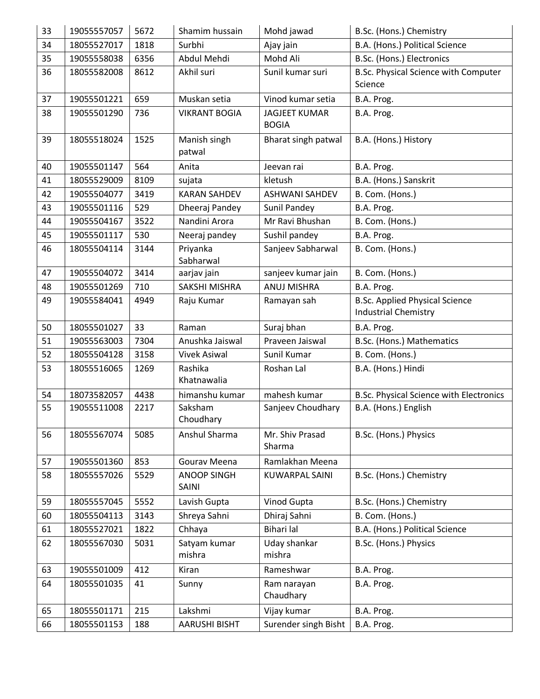| 33 | 19055557057 | 5672 | Shamim hussain              | Mohd jawad                           | B.Sc. (Hons.) Chemistry                                              |
|----|-------------|------|-----------------------------|--------------------------------------|----------------------------------------------------------------------|
| 34 | 18055527017 | 1818 | Surbhi                      | Ajay jain                            | B.A. (Hons.) Political Science                                       |
| 35 | 19055558038 | 6356 | Abdul Mehdi                 | Mohd Ali                             | B.Sc. (Hons.) Electronics                                            |
| 36 | 18055582008 | 8612 | Akhil suri                  | Sunil kumar suri                     | B.Sc. Physical Science with Computer                                 |
|    |             |      |                             |                                      | Science                                                              |
| 37 | 19055501221 | 659  | Muskan setia                | Vinod kumar setia                    | B.A. Prog.                                                           |
| 38 | 19055501290 | 736  | <b>VIKRANT BOGIA</b>        | <b>JAGJEET KUMAR</b><br><b>BOGIA</b> | B.A. Prog.                                                           |
| 39 | 18055518024 | 1525 | Manish singh<br>patwal      | Bharat singh patwal                  | B.A. (Hons.) History                                                 |
| 40 | 19055501147 | 564  | Anita                       | Jeevan rai                           | B.A. Prog.                                                           |
| 41 | 18055529009 | 8109 | sujata                      | kletush                              | B.A. (Hons.) Sanskrit                                                |
| 42 | 19055504077 | 3419 | <b>KARAN SAHDEV</b>         | <b>ASHWANI SAHDEV</b>                | B. Com. (Hons.)                                                      |
| 43 | 19055501116 | 529  | Dheeraj Pandey              | Sunil Pandey                         | B.A. Prog.                                                           |
| 44 | 19055504167 | 3522 | Nandini Arora               | Mr Ravi Bhushan                      | B. Com. (Hons.)                                                      |
| 45 | 19055501117 | 530  | Neeraj pandey               | Sushil pandey                        | B.A. Prog.                                                           |
| 46 | 18055504114 | 3144 | Priyanka<br>Sabharwal       | Sanjeev Sabharwal                    | B. Com. (Hons.)                                                      |
| 47 | 19055504072 | 3414 | aarjav jain                 | sanjeev kumar jain                   | B. Com. (Hons.)                                                      |
| 48 | 19055501269 | 710  | SAKSHI MISHRA               | ANUJ MISHRA                          | B.A. Prog.                                                           |
| 49 | 19055584041 | 4949 | Raju Kumar                  | Ramayan sah                          | <b>B.Sc. Applied Physical Science</b><br><b>Industrial Chemistry</b> |
| 50 | 18055501027 | 33   | Raman                       | Suraj bhan                           | B.A. Prog.                                                           |
| 51 | 19055563003 | 7304 | Anushka Jaiswal             | Praveen Jaiswal                      | B.Sc. (Hons.) Mathematics                                            |
| 52 | 18055504128 | 3158 | <b>Vivek Asiwal</b>         | Sunil Kumar                          | B. Com. (Hons.)                                                      |
| 53 | 18055516065 | 1269 | Rashika<br>Khatnawalia      | Roshan Lal                           | B.A. (Hons.) Hindi                                                   |
| 54 | 18073582057 | 4438 | himanshu kumar              | mahesh kumar                         | <b>B.Sc. Physical Science with Electronics</b>                       |
| 55 | 19055511008 | 2217 | Saksham<br>Choudhary        | Sanjeev Choudhary                    | B.A. (Hons.) English                                                 |
| 56 | 18055567074 | 5085 | Anshul Sharma               | Mr. Shiv Prasad<br>Sharma            | B.Sc. (Hons.) Physics                                                |
| 57 | 19055501360 | 853  | Gourav Meena                | Ramlakhan Meena                      |                                                                      |
| 58 | 18055557026 | 5529 | <b>ANOOP SINGH</b><br>SAINI | <b>KUWARPAL SAINI</b>                | B.Sc. (Hons.) Chemistry                                              |
| 59 | 18055557045 | 5552 | Lavish Gupta                | Vinod Gupta                          | B.Sc. (Hons.) Chemistry                                              |
| 60 | 18055504113 | 3143 | Shreya Sahni                | Dhiraj Sahni                         | B. Com. (Hons.)                                                      |
| 61 | 18055527021 | 1822 | Chhaya                      | Bihari lal                           | B.A. (Hons.) Political Science                                       |
| 62 | 18055567030 | 5031 | Satyam kumar<br>mishra      | Uday shankar<br>mishra               | B.Sc. (Hons.) Physics                                                |
| 63 | 19055501009 | 412  | Kiran                       | Rameshwar                            | B.A. Prog.                                                           |
| 64 | 18055501035 | 41   | Sunny                       | Ram narayan<br>Chaudhary             | B.A. Prog.                                                           |
| 65 | 18055501171 | 215  | Lakshmi                     | Vijay kumar                          | B.A. Prog.                                                           |
| 66 | 18055501153 | 188  | AARUSHI BISHT               | Surender singh Bisht                 | B.A. Prog.                                                           |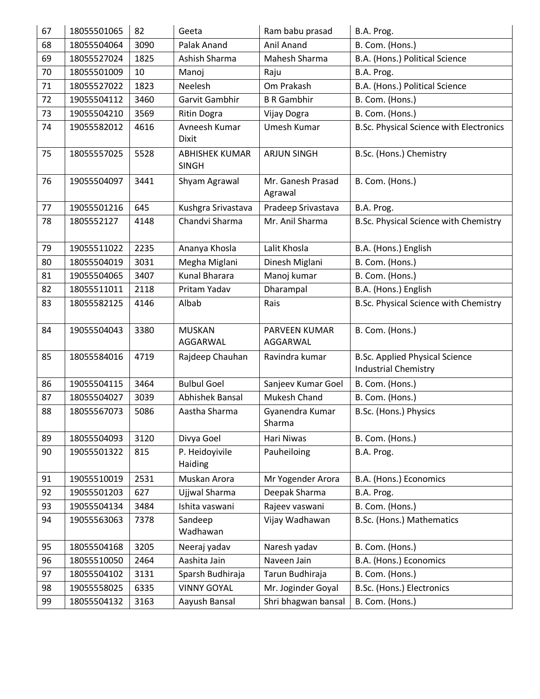| 67 | 18055501065 | 82   | Geeta                                 | Ram babu prasad                  | B.A. Prog.                                                           |
|----|-------------|------|---------------------------------------|----------------------------------|----------------------------------------------------------------------|
| 68 | 18055504064 | 3090 | Palak Anand                           | Anil Anand                       | B. Com. (Hons.)                                                      |
| 69 | 18055527024 | 1825 | Ashish Sharma                         | Mahesh Sharma                    | B.A. (Hons.) Political Science                                       |
| 70 | 18055501009 | 10   | Manoj                                 | Raju                             | B.A. Prog.                                                           |
| 71 | 18055527022 | 1823 | Neelesh                               | Om Prakash                       | B.A. (Hons.) Political Science                                       |
| 72 | 19055504112 | 3460 | Garvit Gambhir                        | <b>B R Gambhir</b>               | B. Com. (Hons.)                                                      |
| 73 | 19055504210 | 3569 | Ritin Dogra                           | Vijay Dogra                      | B. Com. (Hons.)                                                      |
| 74 | 19055582012 | 4616 | Avneesh Kumar<br><b>Dixit</b>         | Umesh Kumar                      | B.Sc. Physical Science with Electronics                              |
| 75 | 18055557025 | 5528 | <b>ABHISHEK KUMAR</b><br><b>SINGH</b> | <b>ARJUN SINGH</b>               | B.Sc. (Hons.) Chemistry                                              |
| 76 | 19055504097 | 3441 | Shyam Agrawal                         | Mr. Ganesh Prasad<br>Agrawal     | B. Com. (Hons.)                                                      |
| 77 | 19055501216 | 645  | Kushgra Srivastava                    | Pradeep Srivastava               | B.A. Prog.                                                           |
| 78 | 1805552127  | 4148 | Chandvi Sharma                        | Mr. Anil Sharma                  | B.Sc. Physical Science with Chemistry                                |
| 79 | 19055511022 | 2235 | Ananya Khosla                         | Lalit Khosla                     | B.A. (Hons.) English                                                 |
| 80 | 18055504019 | 3031 | Megha Miglani                         | Dinesh Miglani                   | B. Com. (Hons.)                                                      |
| 81 | 19055504065 | 3407 | <b>Kunal Bharara</b>                  | Manoj kumar                      | B. Com. (Hons.)                                                      |
| 82 | 18055511011 | 2118 | Pritam Yadav                          | Dharampal                        | B.A. (Hons.) English                                                 |
| 83 | 18055582125 | 4146 | Albab                                 | Rais                             | B.Sc. Physical Science with Chemistry                                |
| 84 | 19055504043 | 3380 | <b>MUSKAN</b><br>AGGARWAL             | <b>PARVEEN KUMAR</b><br>AGGARWAL | B. Com. (Hons.)                                                      |
| 85 | 18055584016 | 4719 | Rajdeep Chauhan                       | Ravindra kumar                   | <b>B.Sc. Applied Physical Science</b><br><b>Industrial Chemistry</b> |
| 86 | 19055504115 | 3464 | <b>Bulbul Goel</b>                    | Sanjeev Kumar Goel               | B. Com. (Hons.)                                                      |
| 87 | 18055504027 | 3039 | Abhishek Bansal                       | Mukesh Chand                     | B. Com. (Hons.)                                                      |
| 88 | 18055567073 | 5086 | Aastha Sharma                         | Gyanendra Kumar<br>Sharma        | B.Sc. (Hons.) Physics                                                |
| 89 | 18055504093 | 3120 | Divya Goel                            | Hari Niwas                       | B. Com. (Hons.)                                                      |
| 90 | 19055501322 | 815  | P. Heidoyivile<br>Haiding             | Pauheiloing                      | B.A. Prog.                                                           |
| 91 | 19055510019 | 2531 | Muskan Arora                          | Mr Yogender Arora                | B.A. (Hons.) Economics                                               |
| 92 | 19055501203 | 627  | Ujjwal Sharma                         | Deepak Sharma                    | B.A. Prog.                                                           |
| 93 | 19055504134 | 3484 | Ishita vaswani                        | Rajeev vaswani                   | B. Com. (Hons.)                                                      |
| 94 | 19055563063 | 7378 | Sandeep<br>Wadhawan                   | Vijay Wadhawan                   | B.Sc. (Hons.) Mathematics                                            |
| 95 | 18055504168 | 3205 | Neeraj yadav                          | Naresh yadav                     | B. Com. (Hons.)                                                      |
| 96 | 18055510050 | 2464 | Aashita Jain                          | Naveen Jain                      | B.A. (Hons.) Economics                                               |
| 97 | 18055504102 | 3131 | Sparsh Budhiraja                      | Tarun Budhiraja                  | B. Com. (Hons.)                                                      |
| 98 | 19055558025 | 6335 | <b>VINNY GOYAL</b>                    | Mr. Joginder Goyal               | B.Sc. (Hons.) Electronics                                            |
| 99 | 18055504132 | 3163 | Aayush Bansal                         | Shri bhagwan bansal              | B. Com. (Hons.)                                                      |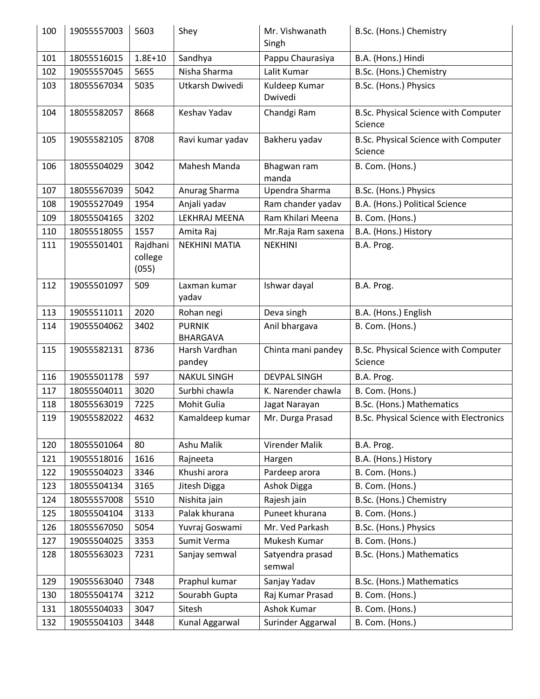| 100 | 19055557003 | 5603                         | Shey                             | Mr. Vishwanath<br>Singh    | B.Sc. (Hons.) Chemistry                         |
|-----|-------------|------------------------------|----------------------------------|----------------------------|-------------------------------------------------|
| 101 | 18055516015 | $1.8E + 10$                  | Sandhya                          | Pappu Chaurasiya           | B.A. (Hons.) Hindi                              |
| 102 | 19055557045 | 5655                         | Nisha Sharma                     | Lalit Kumar                | B.Sc. (Hons.) Chemistry                         |
| 103 | 18055567034 | 5035                         | Utkarsh Dwivedi                  | Kuldeep Kumar<br>Dwivedi   | B.Sc. (Hons.) Physics                           |
| 104 | 18055582057 | 8668                         | Keshav Yadav                     | Chandgi Ram                | B.Sc. Physical Science with Computer<br>Science |
| 105 | 19055582105 | 8708                         | Ravi kumar yadav                 | Bakheru yadav              | B.Sc. Physical Science with Computer<br>Science |
| 106 | 18055504029 | 3042                         | Mahesh Manda                     | Bhagwan ram<br>manda       | B. Com. (Hons.)                                 |
| 107 | 18055567039 | 5042                         | Anurag Sharma                    | Upendra Sharma             | B.Sc. (Hons.) Physics                           |
| 108 | 19055527049 | 1954                         | Anjali yadav                     | Ram chander yadav          | B.A. (Hons.) Political Science                  |
| 109 | 18055504165 | 3202                         | LEKHRAJ MEENA                    | Ram Khilari Meena          | B. Com. (Hons.)                                 |
| 110 | 18055518055 | 1557                         | Amita Raj                        | Mr.Raja Ram saxena         | B.A. (Hons.) History                            |
| 111 | 19055501401 | Rajdhani<br>college<br>(055) | <b>NEKHINI MATIA</b>             | <b>NEKHINI</b>             | B.A. Prog.                                      |
| 112 | 19055501097 | 509                          | Laxman kumar<br>yadav            | Ishwar dayal               | B.A. Prog.                                      |
| 113 | 19055511011 | 2020                         | Rohan negi                       | Deva singh                 | B.A. (Hons.) English                            |
| 114 | 19055504062 | 3402                         | <b>PURNIK</b><br><b>BHARGAVA</b> | Anil bhargava              | B. Com. (Hons.)                                 |
| 115 | 19055582131 | 8736                         | Harsh Vardhan<br>pandey          | Chinta mani pandey         | B.Sc. Physical Science with Computer<br>Science |
| 116 | 19055501178 | 597                          | <b>NAKUL SINGH</b>               | <b>DEVPAL SINGH</b>        | B.A. Prog.                                      |
| 117 | 18055504011 | 3020                         | Surbhi chawla                    | K. Narender chawla         | B. Com. (Hons.)                                 |
| 118 | 18055563019 | 7225                         | Mohit Gulia                      | Jagat Narayan              | B.Sc. (Hons.) Mathematics                       |
| 119 | 19055582022 | 4632                         | Kamaldeep kumar                  | Mr. Durga Prasad           | B.Sc. Physical Science with Electronics         |
| 120 | 18055501064 | 80                           | Ashu Malik                       | Virender Malik             | B.A. Prog.                                      |
| 121 | 19055518016 | 1616                         | Rajneeta                         | Hargen                     | B.A. (Hons.) History                            |
| 122 | 19055504023 | 3346                         | Khushi arora                     | Pardeep arora              | B. Com. (Hons.)                                 |
| 123 | 18055504134 | 3165                         | Jitesh Digga                     | Ashok Digga                | B. Com. (Hons.)                                 |
| 124 | 18055557008 | 5510                         | Nishita jain                     | Rajesh jain                | B.Sc. (Hons.) Chemistry                         |
| 125 | 18055504104 | 3133                         | Palak khurana                    | Puneet khurana             | B. Com. (Hons.)                                 |
| 126 | 18055567050 | 5054                         | Yuvraj Goswami                   | Mr. Ved Parkash            | B.Sc. (Hons.) Physics                           |
| 127 | 19055504025 | 3353                         | Sumit Verma                      | Mukesh Kumar               | B. Com. (Hons.)                                 |
| 128 | 18055563023 | 7231                         | Sanjay semwal                    | Satyendra prasad<br>semwal | B.Sc. (Hons.) Mathematics                       |
| 129 | 19055563040 | 7348                         | Praphul kumar                    | Sanjay Yadav               | B.Sc. (Hons.) Mathematics                       |
| 130 | 18055504174 | 3212                         | Sourabh Gupta                    | Raj Kumar Prasad           | B. Com. (Hons.)                                 |
| 131 | 18055504033 | 3047                         | Sitesh                           | Ashok Kumar                | B. Com. (Hons.)                                 |
| 132 | 19055504103 | 3448                         | Kunal Aggarwal                   | Surinder Aggarwal          | B. Com. (Hons.)                                 |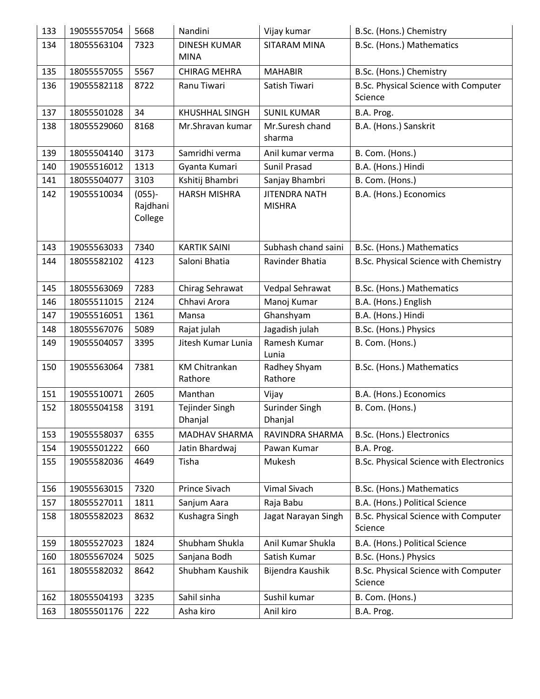| 133 | 19055557054 | 5668                             | Nandini                         | Vijay kumar                           | B.Sc. (Hons.) Chemistry                         |
|-----|-------------|----------------------------------|---------------------------------|---------------------------------------|-------------------------------------------------|
| 134 | 18055563104 | 7323                             | <b>DINESH KUMAR</b>             | SITARAM MINA                          | B.Sc. (Hons.) Mathematics                       |
|     |             |                                  | <b>MINA</b>                     |                                       |                                                 |
| 135 | 18055557055 | 5567                             | <b>CHIRAG MEHRA</b>             | <b>MAHABIR</b>                        | B.Sc. (Hons.) Chemistry                         |
| 136 | 19055582118 | 8722                             | Ranu Tiwari                     | Satish Tiwari                         | B.Sc. Physical Science with Computer<br>Science |
| 137 | 18055501028 | 34                               | KHUSHHAL SINGH                  | <b>SUNIL KUMAR</b>                    | B.A. Prog.                                      |
| 138 | 18055529060 | 8168                             | Mr.Shravan kumar                | Mr.Suresh chand<br>sharma             | B.A. (Hons.) Sanskrit                           |
| 139 | 18055504140 | 3173                             | Samridhi verma                  | Anil kumar verma                      | B. Com. (Hons.)                                 |
| 140 | 19055516012 | 1313                             | Gyanta Kumari                   | Sunil Prasad                          | B.A. (Hons.) Hindi                              |
| 141 | 18055504077 | 3103                             | Kshitij Bhambri                 | Sanjay Bhambri                        | B. Com. (Hons.)                                 |
| 142 | 19055510034 | $(055) -$<br>Rajdhani<br>College | <b>HARSH MISHRA</b>             | <b>JITENDRA NATH</b><br><b>MISHRA</b> | B.A. (Hons.) Economics                          |
| 143 | 19055563033 | 7340                             | <b>KARTIK SAINI</b>             | Subhash chand saini                   | B.Sc. (Hons.) Mathematics                       |
| 144 | 18055582102 | 4123                             | Saloni Bhatia                   | Ravinder Bhatia                       | B.Sc. Physical Science with Chemistry           |
| 145 | 18055563069 | 7283                             | Chirag Sehrawat                 | Vedpal Sehrawat                       | B.Sc. (Hons.) Mathematics                       |
| 146 | 18055511015 | 2124                             | Chhavi Arora                    | Manoj Kumar                           | B.A. (Hons.) English                            |
| 147 | 19055516051 | 1361                             | Mansa                           | Ghanshyam                             | B.A. (Hons.) Hindi                              |
| 148 | 18055567076 | 5089                             | Rajat julah                     | Jagadish julah                        | B.Sc. (Hons.) Physics                           |
| 149 | 19055504057 | 3395                             | Jitesh Kumar Lunia              | Ramesh Kumar<br>Lunia                 | B. Com. (Hons.)                                 |
| 150 | 19055563064 | 7381                             | <b>KM Chitrankan</b><br>Rathore | Radhey Shyam<br>Rathore               | B.Sc. (Hons.) Mathematics                       |
| 151 | 19055510071 | 2605                             | Manthan                         | Vijay                                 | B.A. (Hons.) Economics                          |
| 152 | 18055504158 | 3191                             | Tejinder Singh<br>Dhanjal       | Surinder Singh<br>Dhanjal             | B. Com. (Hons.)                                 |
| 153 | 19055558037 | 6355                             | MADHAV SHARMA                   | RAVINDRA SHARMA                       | B.Sc. (Hons.) Electronics                       |
| 154 | 19055501222 | 660                              | Jatin Bhardwaj                  | Pawan Kumar                           | B.A. Prog.                                      |
| 155 | 19055582036 | 4649                             | Tisha                           | Mukesh                                | B.Sc. Physical Science with Electronics         |
| 156 | 19055563015 | 7320                             | Prince Sivach                   | Vimal Sivach                          | B.Sc. (Hons.) Mathematics                       |
| 157 | 18055527011 | 1811                             | Sanjum Aara                     | Raja Babu                             | B.A. (Hons.) Political Science                  |
| 158 | 18055582023 | 8632                             | Kushagra Singh                  | Jagat Narayan Singh                   | B.Sc. Physical Science with Computer<br>Science |
| 159 | 18055527023 | 1824                             | Shubham Shukla                  | Anil Kumar Shukla                     | B.A. (Hons.) Political Science                  |
| 160 | 18055567024 | 5025                             | Sanjana Bodh                    | Satish Kumar                          | B.Sc. (Hons.) Physics                           |
| 161 | 18055582032 | 8642                             | Shubham Kaushik                 | Bijendra Kaushik                      | B.Sc. Physical Science with Computer<br>Science |
| 162 | 18055504193 | 3235                             | Sahil sinha                     | Sushil kumar                          | B. Com. (Hons.)                                 |
| 163 | 18055501176 | 222                              | Asha kiro                       | Anil kiro                             | B.A. Prog.                                      |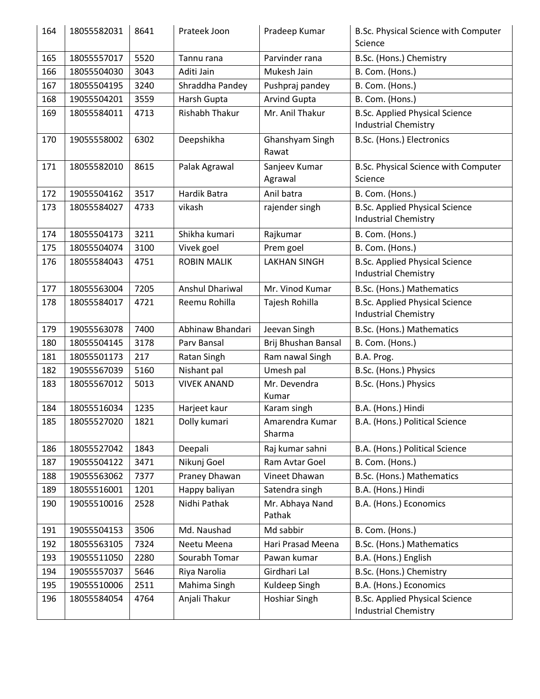| 164 | 18055582031 | 8641         | Prateek Joon                  | Pradeep Kumar                  | B.Sc. Physical Science with Computer<br>Science                      |
|-----|-------------|--------------|-------------------------------|--------------------------------|----------------------------------------------------------------------|
| 165 | 18055557017 | 5520         | Tannu rana                    | Parvinder rana                 | B.Sc. (Hons.) Chemistry                                              |
| 166 | 18055504030 | 3043         | Aditi Jain                    | Mukesh Jain                    | B. Com. (Hons.)                                                      |
| 167 | 18055504195 | 3240         | Shraddha Pandey               | Pushpraj pandey                | B. Com. (Hons.)                                                      |
| 168 | 19055504201 | 3559         | Harsh Gupta                   | <b>Arvind Gupta</b>            | B. Com. (Hons.)                                                      |
| 169 | 18055584011 | 4713         | <b>Rishabh Thakur</b>         | Mr. Anil Thakur                | <b>B.Sc. Applied Physical Science</b><br><b>Industrial Chemistry</b> |
| 170 | 19055558002 | 6302         | Deepshikha                    | Ghanshyam Singh<br>Rawat       | B.Sc. (Hons.) Electronics                                            |
| 171 | 18055582010 | 8615         | Palak Agrawal                 | Sanjeev Kumar<br>Agrawal       | B.Sc. Physical Science with Computer<br>Science                      |
| 172 | 19055504162 | 3517         | Hardik Batra                  | Anil batra                     | B. Com. (Hons.)                                                      |
| 173 | 18055584027 | 4733         | vikash                        | rajender singh                 | <b>B.Sc. Applied Physical Science</b><br><b>Industrial Chemistry</b> |
| 174 | 18055504173 | 3211         | Shikha kumari                 | Rajkumar                       | B. Com. (Hons.)                                                      |
| 175 | 18055504074 | 3100         | Vivek goel                    | Prem goel                      | B. Com. (Hons.)                                                      |
| 176 | 18055584043 | 4751         | <b>ROBIN MALIK</b>            | <b>LAKHAN SINGH</b>            | <b>B.Sc. Applied Physical Science</b><br><b>Industrial Chemistry</b> |
| 177 | 18055563004 | 7205         | <b>Anshul Dhariwal</b>        | Mr. Vinod Kumar                | B.Sc. (Hons.) Mathematics                                            |
| 178 | 18055584017 | 4721         | Reemu Rohilla                 | Tajesh Rohilla                 | <b>B.Sc. Applied Physical Science</b><br><b>Industrial Chemistry</b> |
| 179 | 19055563078 | 7400         | Abhinaw Bhandari              | Jeevan Singh                   | B.Sc. (Hons.) Mathematics                                            |
| 180 | 18055504145 | 3178         | Parv Bansal                   | Brij Bhushan Bansal            | B. Com. (Hons.)                                                      |
| 181 | 18055501173 | 217          | Ratan Singh                   | Ram nawal Singh                | B.A. Prog.                                                           |
| 182 | 19055567039 | 5160         | Nishant pal                   | Umesh pal                      | B.Sc. (Hons.) Physics                                                |
|     |             |              |                               |                                |                                                                      |
| 183 | 18055567012 | 5013         | <b>VIVEK ANAND</b>            | Mr. Devendra<br>Kumar          | B.Sc. (Hons.) Physics                                                |
| 184 | 18055516034 | 1235         | Harjeet kaur                  | Karam singh                    | B.A. (Hons.) Hindi                                                   |
| 185 | 18055527020 | 1821         | Dolly kumari                  | Amarendra Kumar<br>Sharma      | B.A. (Hons.) Political Science                                       |
| 186 | 18055527042 | 1843         | Deepali                       | Raj kumar sahni                | B.A. (Hons.) Political Science                                       |
| 187 | 19055504122 | 3471         | Nikunj Goel                   | Ram Avtar Goel                 | B. Com. (Hons.)                                                      |
| 188 | 19055563062 | 7377         | Praney Dhawan                 | Vineet Dhawan                  | B.Sc. (Hons.) Mathematics                                            |
| 189 | 18055516001 | 1201         | Happy baliyan                 | Satendra singh                 | B.A. (Hons.) Hindi                                                   |
| 190 | 19055510016 | 2528         | Nidhi Pathak                  | Mr. Abhaya Nand<br>Pathak      | B.A. (Hons.) Economics                                               |
| 191 | 19055504153 | 3506         | Md. Naushad                   | Md sabbir                      | B. Com. (Hons.)                                                      |
| 192 | 18055563105 | 7324         | Neetu Meena                   | Hari Prasad Meena              | B.Sc. (Hons.) Mathematics                                            |
| 193 | 19055511050 | 2280         | Sourabh Tomar                 | Pawan kumar                    | B.A. (Hons.) English                                                 |
| 194 | 19055557037 | 5646         | Riya Narolia                  | Girdhari Lal                   | B.Sc. (Hons.) Chemistry                                              |
| 195 | 19055510006 | 2511<br>4764 | Mahima Singh<br>Anjali Thakur | Kuldeep Singh<br>Hoshiar Singh | B.A. (Hons.) Economics<br><b>B.Sc. Applied Physical Science</b>      |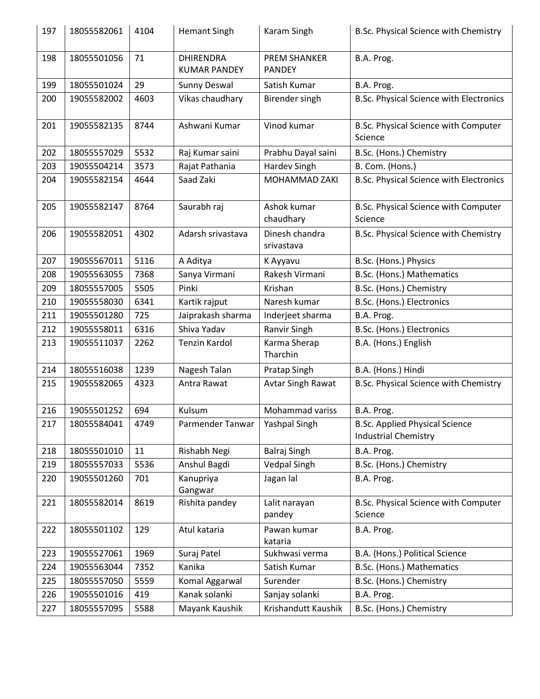| 197 | 18055582061 | 4104 | <b>Hemant Singh</b>                     | Karam Singh                          | B.Sc. Physical Science with Chemistry                                |
|-----|-------------|------|-----------------------------------------|--------------------------------------|----------------------------------------------------------------------|
| 198 | 18055501056 | 71   | <b>DHIRENDRA</b><br><b>KUMAR PANDEY</b> | <b>PREM SHANKER</b><br><b>PANDEY</b> | B.A. Prog.                                                           |
| 199 | 18055501024 | 29   | Sunny Deswal                            | Satish Kumar                         | B.A. Prog.                                                           |
| 200 | 19055582002 | 4603 | Vikas chaudhary                         | Birender singh                       | B.Sc. Physical Science with Electronics                              |
| 201 | 19055582135 | 8744 | Ashwani Kumar                           | Vinod kumar                          | B.Sc. Physical Science with Computer<br>Science                      |
| 202 | 18055557029 | 5532 | Raj Kumar saini                         | Prabhu Dayal saini                   | B.Sc. (Hons.) Chemistry                                              |
| 203 | 19055504214 | 3573 | Rajat Pathania                          | <b>Hardev Singh</b>                  | B. Com. (Hons.)                                                      |
| 204 | 19055582154 | 4644 | Saad Zaki                               | MOHAMMAD ZAKI                        | <b>B.Sc. Physical Science with Electronics</b>                       |
| 205 | 19055582147 | 8764 | Saurabh raj                             | Ashok kumar<br>chaudhary             | B.Sc. Physical Science with Computer<br>Science                      |
| 206 | 19055582051 | 4302 | Adarsh srivastava                       | Dinesh chandra<br>srivastava         | B.Sc. Physical Science with Chemistry                                |
| 207 | 19055567011 | 5116 | A Aditya                                | K Ayyavu                             | B.Sc. (Hons.) Physics                                                |
| 208 | 19055563055 | 7368 | Sanya Virmani                           | Rakesh Virmani                       | B.Sc. (Hons.) Mathematics                                            |
| 209 | 18055557005 | 5505 | Pinki                                   | Krishan                              | B.Sc. (Hons.) Chemistry                                              |
| 210 | 19055558030 | 6341 | Kartik rajput                           | Naresh kumar                         | B.Sc. (Hons.) Electronics                                            |
| 211 | 19055501280 | 725  | Jaiprakash sharma                       | Inderjeet sharma                     | B.A. Prog.                                                           |
| 212 | 19055558011 | 6316 | Shiva Yadav                             | Ranvir Singh                         | B.Sc. (Hons.) Electronics                                            |
| 213 | 19055511037 | 2262 | Tenzin Kardol                           | Karma Sherap<br>Tharchin             | B.A. (Hons.) English                                                 |
| 214 | 18055516038 | 1239 | Nagesh Talan                            | Pratap Singh                         | B.A. (Hons.) Hindi                                                   |
| 215 | 19055582065 | 4323 | Antra Rawat                             | <b>Avtar Singh Rawat</b>             | B.Sc. Physical Science with Chemistry                                |
| 216 | 19055501252 | 694  | Kulsum                                  | Mohammad variss                      | B.A. Prog.                                                           |
| 217 | 18055584041 | 4749 | Parmender Tanwar                        | <b>Yashpal Singh</b>                 | <b>B.Sc. Applied Physical Science</b><br><b>Industrial Chemistry</b> |
| 218 | 18055501010 | 11   | Rishabh Negi                            | <b>Balraj Singh</b>                  | B.A. Prog.                                                           |
| 219 | 18055557033 | 5536 | Anshul Bagdi                            | <b>Vedpal Singh</b>                  | B.Sc. (Hons.) Chemistry                                              |
| 220 | 19055501260 | 701  | Kanupriya<br>Gangwar                    | Jagan lal                            | B.A. Prog.                                                           |
| 221 | 18055582014 | 8619 | Rishita pandey                          | Lalit narayan<br>pandey              | B.Sc. Physical Science with Computer<br>Science                      |
| 222 | 18055501102 | 129  | Atul kataria                            | Pawan kumar<br>kataria               | B.A. Prog.                                                           |
| 223 | 19055527061 | 1969 | Suraj Patel                             | Sukhwasi verma                       | B.A. (Hons.) Political Science                                       |
| 224 | 19055563044 | 7352 | Kanika                                  | Satish Kumar                         | B.Sc. (Hons.) Mathematics                                            |
| 225 | 18055557050 | 5559 | Komal Aggarwal                          | Surender                             | B.Sc. (Hons.) Chemistry                                              |
| 226 | 19055501016 | 419  | Kanak solanki                           | Sanjay solanki                       | B.A. Prog.                                                           |
| 227 | 18055557095 | 5588 | Mayank Kaushik                          | Krishandutt Kaushik                  | B.Sc. (Hons.) Chemistry                                              |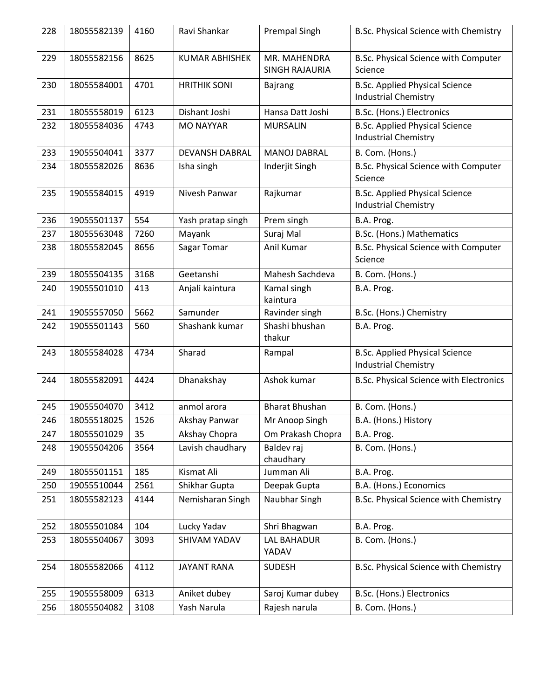| 228 | 18055582139 | 4160 | Ravi Shankar          | <b>Prempal Singh</b>           | B.Sc. Physical Science with Chemistry                                |
|-----|-------------|------|-----------------------|--------------------------------|----------------------------------------------------------------------|
| 229 | 18055582156 | 8625 | <b>KUMAR ABHISHEK</b> | MR. MAHENDRA<br>SINGH RAJAURIA | B.Sc. Physical Science with Computer<br>Science                      |
| 230 | 18055584001 | 4701 | <b>HRITHIK SONI</b>   | <b>Bajrang</b>                 | <b>B.Sc. Applied Physical Science</b><br><b>Industrial Chemistry</b> |
| 231 | 18055558019 | 6123 | Dishant Joshi         | Hansa Datt Joshi               | B.Sc. (Hons.) Electronics                                            |
| 232 | 18055584036 | 4743 | <b>MO NAYYAR</b>      | <b>MURSALIN</b>                | <b>B.Sc. Applied Physical Science</b><br><b>Industrial Chemistry</b> |
| 233 | 19055504041 | 3377 | <b>DEVANSH DABRAL</b> | <b>MANOJ DABRAL</b>            | B. Com. (Hons.)                                                      |
| 234 | 18055582026 | 8636 | Isha singh            | Inderjit Singh                 | B.Sc. Physical Science with Computer<br>Science                      |
| 235 | 19055584015 | 4919 | Nivesh Panwar         | Rajkumar                       | <b>B.Sc. Applied Physical Science</b><br><b>Industrial Chemistry</b> |
| 236 | 19055501137 | 554  | Yash pratap singh     | Prem singh                     | B.A. Prog.                                                           |
| 237 | 18055563048 | 7260 | Mayank                | Suraj Mal                      | B.Sc. (Hons.) Mathematics                                            |
| 238 | 18055582045 | 8656 | Sagar Tomar           | Anil Kumar                     | B.Sc. Physical Science with Computer<br>Science                      |
| 239 | 18055504135 | 3168 | Geetanshi             | Mahesh Sachdeva                | B. Com. (Hons.)                                                      |
| 240 | 19055501010 | 413  | Anjali kaintura       | Kamal singh<br>kaintura        | B.A. Prog.                                                           |
| 241 | 19055557050 | 5662 | Samunder              | Ravinder singh                 | B.Sc. (Hons.) Chemistry                                              |
| 242 | 19055501143 | 560  | Shashank kumar        | Shashi bhushan<br>thakur       | B.A. Prog.                                                           |
|     |             |      |                       |                                |                                                                      |
| 243 | 18055584028 | 4734 | Sharad                | Rampal                         | <b>B.Sc. Applied Physical Science</b><br><b>Industrial Chemistry</b> |
| 244 | 18055582091 | 4424 | Dhanakshay            | Ashok kumar                    | B.Sc. Physical Science with Electronics                              |
| 245 | 19055504070 | 3412 | anmol arora           | <b>Bharat Bhushan</b>          | B. Com. (Hons.)                                                      |
| 246 | 18055518025 | 1526 | Akshay Panwar         | Mr Anoop Singh                 | B.A. (Hons.) History                                                 |
| 247 | 18055501029 | 35   | Akshay Chopra         | Om Prakash Chopra              | B.A. Prog.                                                           |
| 248 | 19055504206 | 3564 | Lavish chaudhary      | Baldev raj<br>chaudhary        | B. Com. (Hons.)                                                      |
| 249 | 18055501151 | 185  | Kismat Ali            | Jumman Ali                     | B.A. Prog.                                                           |
| 250 | 19055510044 | 2561 | Shikhar Gupta         | Deepak Gupta                   | B.A. (Hons.) Economics                                               |
| 251 | 18055582123 | 4144 | Nemisharan Singh      | Naubhar Singh                  | B.Sc. Physical Science with Chemistry                                |
| 252 | 18055501084 | 104  | Lucky Yadav           | Shri Bhagwan                   | B.A. Prog.                                                           |
| 253 | 18055504067 | 3093 | SHIVAM YADAV          | LAL BAHADUR<br>YADAV           | B. Com. (Hons.)                                                      |
| 254 | 18055582066 | 4112 | <b>JAYANT RANA</b>    | <b>SUDESH</b>                  | B.Sc. Physical Science with Chemistry                                |
| 255 | 19055558009 | 6313 | Aniket dubey          | Saroj Kumar dubey              | B.Sc. (Hons.) Electronics                                            |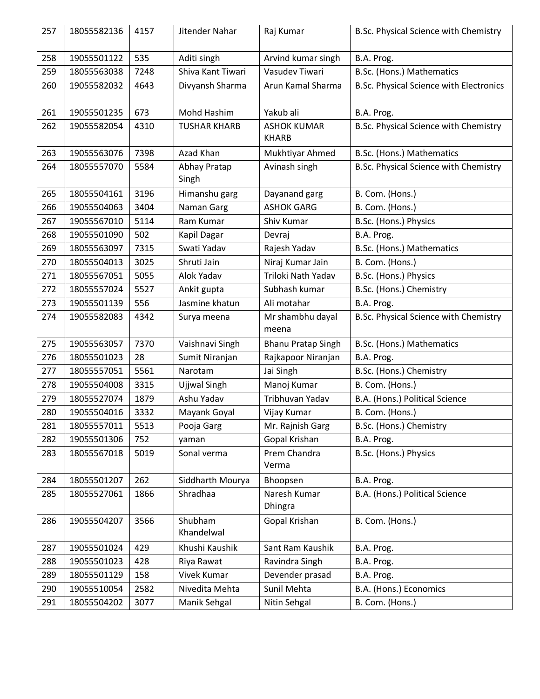| 257 | 18055582136 | 4157 | Jitender Nahar        | Raj Kumar                          | B.Sc. Physical Science with Chemistry          |
|-----|-------------|------|-----------------------|------------------------------------|------------------------------------------------|
| 258 | 19055501122 | 535  | Aditi singh           | Arvind kumar singh                 | B.A. Prog.                                     |
| 259 | 18055563038 | 7248 | Shiva Kant Tiwari     | Vasudev Tiwari                     | B.Sc. (Hons.) Mathematics                      |
| 260 | 19055582032 | 4643 | Divyansh Sharma       | Arun Kamal Sharma                  | <b>B.Sc. Physical Science with Electronics</b> |
| 261 | 19055501235 | 673  | Mohd Hashim           | Yakub ali                          | B.A. Prog.                                     |
| 262 | 19055582054 | 4310 | <b>TUSHAR KHARB</b>   | <b>ASHOK KUMAR</b><br><b>KHARB</b> | B.Sc. Physical Science with Chemistry          |
| 263 | 19055563076 | 7398 | Azad Khan             | Mukhtiyar Ahmed                    | B.Sc. (Hons.) Mathematics                      |
| 264 | 18055557070 | 5584 | Abhay Pratap<br>Singh | Avinash singh                      | B.Sc. Physical Science with Chemistry          |
| 265 | 18055504161 | 3196 | Himanshu garg         | Dayanand garg                      | B. Com. (Hons.)                                |
| 266 | 19055504063 | 3404 | Naman Garg            | <b>ASHOK GARG</b>                  | B. Com. (Hons.)                                |
| 267 | 19055567010 | 5114 | Ram Kumar             | Shiv Kumar                         | B.Sc. (Hons.) Physics                          |
| 268 | 19055501090 | 502  | Kapil Dagar           | Devraj                             | B.A. Prog.                                     |
| 269 | 18055563097 | 7315 | Swati Yadav           | Rajesh Yadav                       | B.Sc. (Hons.) Mathematics                      |
| 270 | 18055504013 | 3025 | Shruti Jain           | Niraj Kumar Jain                   | B. Com. (Hons.)                                |
| 271 | 18055567051 | 5055 | Alok Yadav            | Triloki Nath Yadav                 | B.Sc. (Hons.) Physics                          |
| 272 | 18055557024 | 5527 | Ankit gupta           | Subhash kumar                      | B.Sc. (Hons.) Chemistry                        |
| 273 | 19055501139 | 556  | Jasmine khatun        | Ali motahar                        | B.A. Prog.                                     |
| 274 | 19055582083 | 4342 | Surya meena           | Mr shambhu dayal<br>meena          | B.Sc. Physical Science with Chemistry          |
| 275 | 19055563057 | 7370 | Vaishnavi Singh       | <b>Bhanu Pratap Singh</b>          | B.Sc. (Hons.) Mathematics                      |
| 276 | 18055501023 | 28   | Sumit Niranjan        | Rajkapoor Niranjan                 | B.A. Prog.                                     |
| 277 | 18055557051 | 5561 | Narotam               | Jai Singh                          | B.Sc. (Hons.) Chemistry                        |
| 278 | 19055504008 | 3315 | Ujjwal Singh          | Manoj Kumar                        | B. Com. (Hons.)                                |
| 279 | 18055527074 | 1879 | Ashu Yadav            | Tribhuvan Yadav                    | B.A. (Hons.) Political Science                 |
| 280 | 19055504016 | 3332 | Mayank Goyal          | Vijay Kumar                        | B. Com. (Hons.)                                |
| 281 | 18055557011 | 5513 | Pooja Garg            | Mr. Rajnish Garg                   | B.Sc. (Hons.) Chemistry                        |
| 282 | 19055501306 | 752  | yaman                 | Gopal Krishan                      | B.A. Prog.                                     |
| 283 | 18055567018 | 5019 | Sonal verma           | Prem Chandra<br>Verma              | B.Sc. (Hons.) Physics                          |
| 284 | 18055501207 | 262  | Siddharth Mourya      | Bhoopsen                           | B.A. Prog.                                     |
| 285 | 18055527061 | 1866 | Shradhaa              | Naresh Kumar<br>Dhingra            | B.A. (Hons.) Political Science                 |
| 286 | 19055504207 | 3566 | Shubham<br>Khandelwal | Gopal Krishan                      | B. Com. (Hons.)                                |
| 287 | 19055501024 | 429  | Khushi Kaushik        | Sant Ram Kaushik                   | B.A. Prog.                                     |
| 288 | 19055501023 | 428  | Riya Rawat            | Ravindra Singh                     | B.A. Prog.                                     |
| 289 | 18055501129 | 158  | Vivek Kumar           | Devender prasad                    | B.A. Prog.                                     |
| 290 | 19055510054 | 2582 | Nivedita Mehta        | Sunil Mehta                        | B.A. (Hons.) Economics                         |
| 291 | 18055504202 | 3077 | Manik Sehgal          | Nitin Sehgal                       | B. Com. (Hons.)                                |